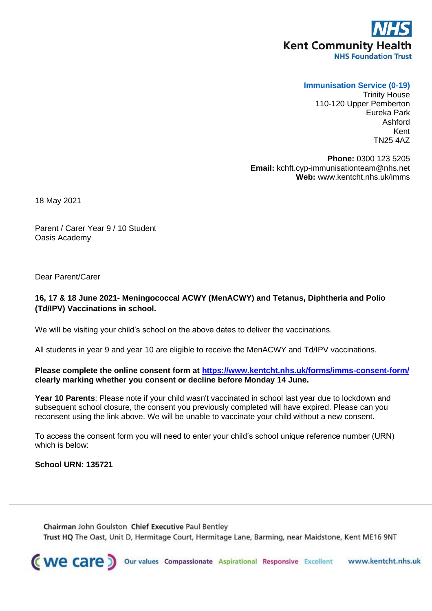## **Kent Community Health NHS Foundation Trust**

## **Immunisation Service (0-19)**

Trinity House 110-120 Upper Pemberton Eureka Park Ashford Kent TN25 4AZ

**Phone:** 0300 123 5205 **Email:** kchft.cyp-immunisationteam@nhs.net **Web:** www.kentcht.nhs.uk/imms

18 May 2021

Parent / Carer Year 9 / 10 Student Oasis Academy

Dear Parent/Carer

## **16, 17 & 18 June 2021- Meningococcal ACWY (MenACWY) and Tetanus, Diphtheria and Polio (Td/IPV) Vaccinations in school.**

We will be visiting your child's school on the above dates to deliver the vaccinations.

All students in year 9 and year 10 are eligible to receive the MenACWY and Td/IPV vaccinations.

**Please complete the online consent form at<https://www.kentcht.nhs.uk/forms/imms-consent-form/> clearly marking whether you consent or decline before Monday 14 June.**

**Year 10 Parents**: Please note if your child wasn't vaccinated in school last year due to lockdown and subsequent school closure, the consent you previously completed will have expired. Please can you reconsent using the link above. We will be unable to vaccinate your child without a new consent.

To access the consent form you will need to enter your child's school unique reference number (URN) which is below:

## **School URN: 135721**

Chairman John Goulston Chief Executive Paul Bentley Trust HQ The Oast, Unit D, Hermitage Court, Hermitage Lane, Barming, near Maidstone, Kent ME16 9NT

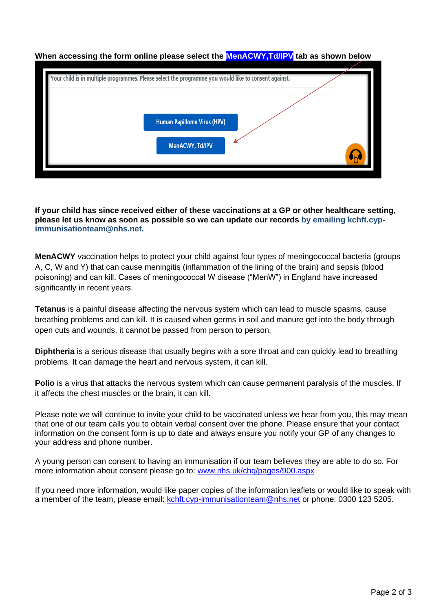

**When accessing the form online please select the MenACWY,Td/IPV tab as shown below**

**If your child has since received either of these vaccinations at a GP or other healthcare setting, please let us know as soon as possible so we can update our records by emailing kchft.cypimmunisationteam@nhs.net.**

**MenACWY** vaccination helps to protect your child against four types of meningococcal bacteria (groups A, C, W and Y) that can cause meningitis (inflammation of the lining of the brain) and sepsis (blood poisoning) and can kill. Cases of meningococcal W disease ("MenW") in England have increased significantly in recent years.

**Tetanus** is a painful disease affecting the nervous system which can lead to muscle spasms, cause breathing problems and can kill. It is caused when germs in soil and manure get into the body through open cuts and wounds, it cannot be passed from person to person.

**Diphtheria** is a serious disease that usually begins with a sore throat and can quickly lead to breathing problems. It can damage the heart and nervous system, it can kill.

**Polio** is a virus that attacks the nervous system which can cause permanent paralysis of the muscles. If it affects the chest muscles or the brain, it can kill.

Please note we will continue to invite your child to be vaccinated unless we hear from you, this may mean that one of our team calls you to obtain verbal consent over the phone. Please ensure that your contact information on the consent form is up to date and always ensure you notify your GP of any changes to your address and phone number.

A young person can consent to having an immunisation if our team believes they are able to do so. For more information about consent please go to: [www.nhs.uk/chq/pages/900.aspx](http://www.nhs.uk/chq/pages/900.aspx)

If you need more information, would like paper copies of the information leaflets or would like to speak with a member of the team, please email: [kchft.cyp-immunisationteam@nhs.net](mailto:kchft.cyp-immunisationteam@nhs.net) or phone: 0300 123 5205.